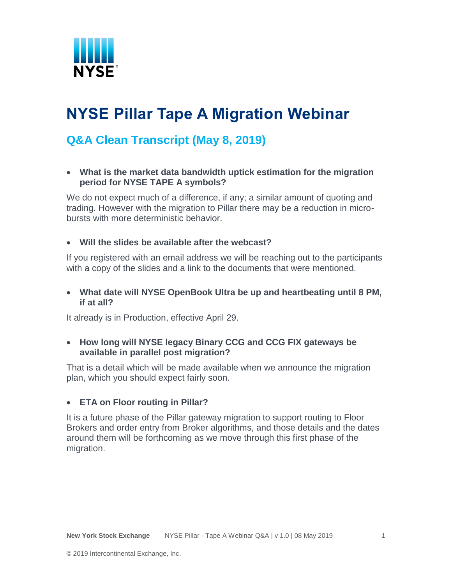

# **NYSE Pillar Tape A Migration Webinar**

# **Q&A Clean Transcript (May 8, 2019)**

 **What is the market data bandwidth uptick estimation for the migration period for NYSE TAPE A symbols?**

We do not expect much of a difference, if any; a similar amount of quoting and trading. However with the migration to Pillar there may be a reduction in microbursts with more deterministic behavior.

#### **Will the slides be available after the webcast?**

If you registered with an email address we will be reaching out to the participants with a copy of the slides and a link to the documents that were mentioned.

 **What date will NYSE OpenBook Ultra be up and heartbeating until 8 PM, if at all?**

It already is in Production, effective April 29.

#### **How long will NYSE legacy Binary CCG and CCG FIX gateways be available in parallel post migration?**

That is a detail which will be made available when we announce the migration plan, which you should expect fairly soon.

#### **ETA on Floor routing in Pillar?**

It is a future phase of the Pillar gateway migration to support routing to Floor Brokers and order entry from Broker algorithms, and those details and the dates around them will be forthcoming as we move through this first phase of the migration.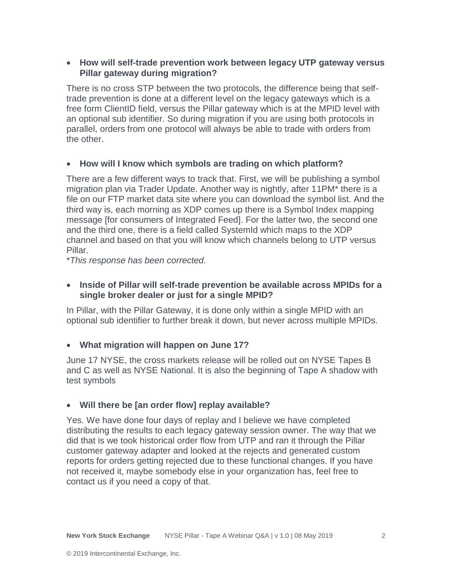#### **How will self-trade prevention work between legacy UTP gateway versus Pillar gateway during migration?**

There is no cross STP between the two protocols, the difference being that selftrade prevention is done at a different level on the legacy gateways which is a free form ClientID field, versus the Pillar gateway which is at the MPID level with an optional sub identifier. So during migration if you are using both protocols in parallel, orders from one protocol will always be able to trade with orders from the other.

#### **How will I know which symbols are trading on which platform?**

There are a few different ways to track that. First, we will be publishing a symbol migration plan via Trader Update. Another way is nightly, after 11PM\* there is a file on our FTP market data site where you can download the symbol list. And the third way is, each morning as XDP comes up there is a Symbol Index mapping message [for consumers of Integrated Feed]. For the latter two, the second one and the third one, there is a field called SystemId which maps to the XDP channel and based on that you will know which channels belong to UTP versus Pillar.

\**This response has been corrected.*

#### **Inside of Pillar will self-trade prevention be available across MPIDs for a single broker dealer or just for a single MPID?**

In Pillar, with the Pillar Gateway, it is done only within a single MPID with an optional sub identifier to further break it down, but never across multiple MPIDs.

#### **What migration will happen on June 17?**

June 17 NYSE, the cross markets release will be rolled out on NYSE Tapes B and C as well as NYSE National. It is also the beginning of Tape A shadow with test symbols

## **Will there be [an order flow] replay available?**

Yes. We have done four days of replay and I believe we have completed distributing the results to each legacy gateway session owner. The way that we did that is we took historical order flow from UTP and ran it through the Pillar customer gateway adapter and looked at the rejects and generated custom reports for orders getting rejected due to these functional changes. If you have not received it, maybe somebody else in your organization has, feel free to contact us if you need a copy of that.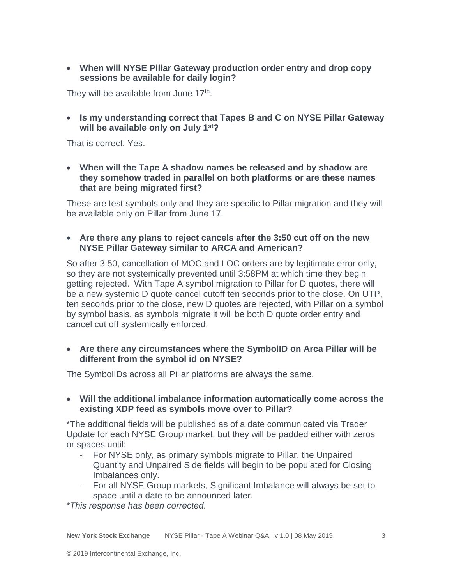**When will NYSE Pillar Gateway production order entry and drop copy sessions be available for daily login?**

They will be available from June 17<sup>th</sup>.

 **Is my understanding correct that Tapes B and C on NYSE Pillar Gateway will be available only on July 1st?**

That is correct. Yes.

 **When will the Tape A shadow names be released and by shadow are they somehow traded in parallel on both platforms or are these names that are being migrated first?**

These are test symbols only and they are specific to Pillar migration and they will be available only on Pillar from June 17.

 **Are there any plans to reject cancels after the 3:50 cut off on the new NYSE Pillar Gateway similar to ARCA and American?**

So after 3:50, cancellation of MOC and LOC orders are by legitimate error only, so they are not systemically prevented until 3:58PM at which time they begin getting rejected. With Tape A symbol migration to Pillar for D quotes, there will be a new systemic D quote cancel cutoff ten seconds prior to the close. On UTP, ten seconds prior to the close, new D quotes are rejected, with Pillar on a symbol by symbol basis, as symbols migrate it will be both D quote order entry and cancel cut off systemically enforced.

 **Are there any circumstances where the SymbolID on Arca Pillar will be different from the symbol id on NYSE?**

The SymbolIDs across all Pillar platforms are always the same.

 **Will the additional imbalance information automatically come across the existing XDP feed as symbols move over to Pillar?**

\*The additional fields will be published as of a date communicated via Trader Update for each NYSE Group market, but they will be padded either with zeros or spaces until:

- For NYSE only, as primary symbols migrate to Pillar, the Unpaired Quantity and Unpaired Side fields will begin to be populated for Closing Imbalances only.
- For all NYSE Group markets, Significant Imbalance will always be set to space until a date to be announced later.

\**This response has been corrected.*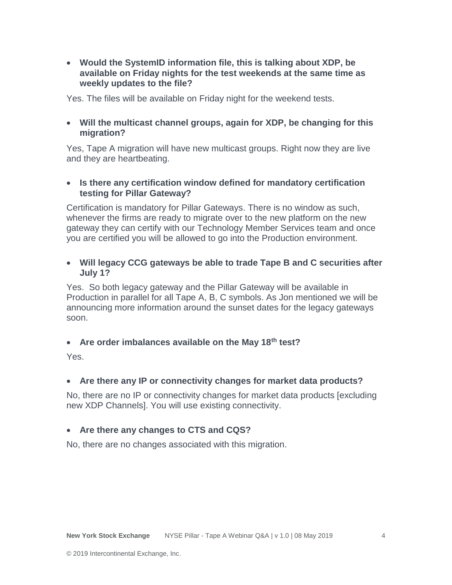**Would the SystemID information file, this is talking about XDP, be available on Friday nights for the test weekends at the same time as weekly updates to the file?**

Yes. The files will be available on Friday night for the weekend tests.

 **Will the multicast channel groups, again for XDP, be changing for this migration?**

Yes, Tape A migration will have new multicast groups. Right now they are live and they are heartbeating.

#### **Is there any certification window defined for mandatory certification testing for Pillar Gateway?**

Certification is mandatory for Pillar Gateways. There is no window as such, whenever the firms are ready to migrate over to the new platform on the new gateway they can certify with our Technology Member Services team and once you are certified you will be allowed to go into the Production environment.

#### **Will legacy CCG gateways be able to trade Tape B and C securities after July 1?**

Yes. So both legacy gateway and the Pillar Gateway will be available in Production in parallel for all Tape A, B, C symbols. As Jon mentioned we will be announcing more information around the sunset dates for the legacy gateways soon.

#### **Are order imbalances available on the May 18th test?**

Yes.

## **Are there any IP or connectivity changes for market data products?**

No, there are no IP or connectivity changes for market data products [excluding new XDP Channels]. You will use existing connectivity.

#### **Are there any changes to CTS and CQS?**

No, there are no changes associated with this migration.